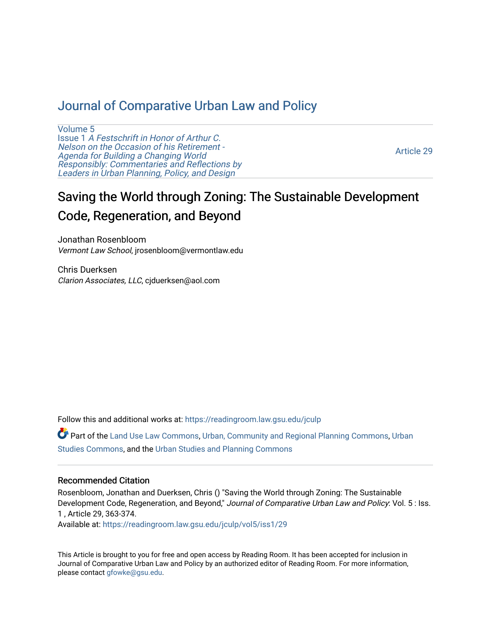## [Journal of Comparative Urban Law and Policy](https://readingroom.law.gsu.edu/jculp)

[Volume 5](https://readingroom.law.gsu.edu/jculp/vol5) Issue 1 [A Festschrift in Honor of Arthur C.](https://readingroom.law.gsu.edu/jculp/vol5/iss1) [Nelson on the Occasion of his Retirement -](https://readingroom.law.gsu.edu/jculp/vol5/iss1)  [Agenda for Building a Changing World](https://readingroom.law.gsu.edu/jculp/vol5/iss1)  [Responsibly: Commentaries and Reflections by](https://readingroom.law.gsu.edu/jculp/vol5/iss1) [Leaders in Urban Planning, Policy, and Design](https://readingroom.law.gsu.edu/jculp/vol5/iss1) 

[Article 29](https://readingroom.law.gsu.edu/jculp/vol5/iss1/29) 

# Saving the World through Zoning: The Sustainable Development Code, Regeneration, and Beyond

Jonathan Rosenbloom Vermont Law School, jrosenbloom@vermontlaw.edu

Chris Duerksen Clarion Associates, LLC, cjduerksen@aol.com

Follow this and additional works at: [https://readingroom.law.gsu.edu/jculp](https://readingroom.law.gsu.edu/jculp?utm_source=readingroom.law.gsu.edu%2Fjculp%2Fvol5%2Fiss1%2F29&utm_medium=PDF&utm_campaign=PDFCoverPages) 

Part of the [Land Use Law Commons](http://network.bepress.com/hgg/discipline/852?utm_source=readingroom.law.gsu.edu%2Fjculp%2Fvol5%2Fiss1%2F29&utm_medium=PDF&utm_campaign=PDFCoverPages), [Urban, Community and Regional Planning Commons,](http://network.bepress.com/hgg/discipline/776?utm_source=readingroom.law.gsu.edu%2Fjculp%2Fvol5%2Fiss1%2F29&utm_medium=PDF&utm_campaign=PDFCoverPages) [Urban](http://network.bepress.com/hgg/discipline/402?utm_source=readingroom.law.gsu.edu%2Fjculp%2Fvol5%2Fiss1%2F29&utm_medium=PDF&utm_campaign=PDFCoverPages) [Studies Commons,](http://network.bepress.com/hgg/discipline/402?utm_source=readingroom.law.gsu.edu%2Fjculp%2Fvol5%2Fiss1%2F29&utm_medium=PDF&utm_campaign=PDFCoverPages) and the [Urban Studies and Planning Commons](http://network.bepress.com/hgg/discipline/436?utm_source=readingroom.law.gsu.edu%2Fjculp%2Fvol5%2Fiss1%2F29&utm_medium=PDF&utm_campaign=PDFCoverPages) 

#### Recommended Citation

Rosenbloom, Jonathan and Duerksen, Chris () "Saving the World through Zoning: The Sustainable Development Code, Regeneration, and Beyond," Journal of Comparative Urban Law and Policy: Vol. 5 : Iss. 1 , Article 29, 363-374.

Available at: [https://readingroom.law.gsu.edu/jculp/vol5/iss1/29](https://readingroom.law.gsu.edu/jculp/vol5/iss1/29?utm_source=readingroom.law.gsu.edu%2Fjculp%2Fvol5%2Fiss1%2F29&utm_medium=PDF&utm_campaign=PDFCoverPages)

This Article is brought to you for free and open access by Reading Room. It has been accepted for inclusion in Journal of Comparative Urban Law and Policy by an authorized editor of Reading Room. For more information, please contact [gfowke@gsu.edu](mailto:gfowke@gsu.edu).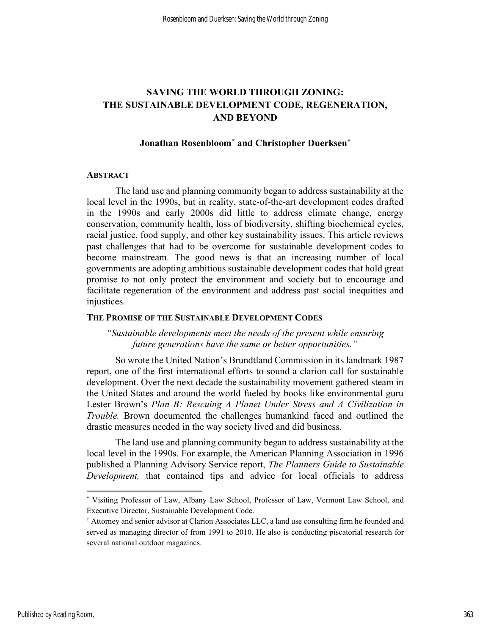### SAVING THE WORLD THROUGH ZONING: THE SUSTAINABLE DEVELOPMENT CODE, REGENERATION, AND BEYOND

#### Jonathan Rosenbloom\* and Christopher Duerksen†

#### **ABSTRACT**

The land use and planning community began to address sustainability at the local level in the 1990s, but in reality, state-of-the-art development codes drafted in the 1990s and early 2000s did little to address climate change, energy conservation, community health, loss of biodiversity, shifting biochemical cycles, racial justice, food supply, and other key sustainability issues. This article reviews past challenges that had to be overcome for sustainable development codes to become mainstream. The good news is that an increasing number of local governments are adopting ambitious sustainable development codes that hold great promise to not only protect the environment and society but to encourage and facilitate regeneration of the environment and address past social inequities and injustices.

#### THE PROMISE OF THE SUSTAINABLE DEVELOPMENT CODES

"Sustainable developments meet the needs of the present while ensuring future generations have the same or better opportunities."

So wrote the United Nation's Brundtland Commission in its landmark 1987 report, one of the first international efforts to sound a clarion call for sustainable development. Over the next decade the sustainability movement gathered steam in the United States and around the world fueled by books like environmental guru Lester Brown's Plan B: Rescuing A Planet Under Stress and A Civilization in Trouble. Brown documented the challenges humankind faced and outlined the drastic measures needed in the way society lived and did business.

The land use and planning community began to address sustainability at the local level in the 1990s. For example, the American Planning Association in 1996 published a Planning Advisory Service report, The Planners Guide to Sustainable Development, that contained tips and advice for local officials to address

<sup>\*</sup> Visiting Professor of Law, Albany Law School, Professor of Law, Vermont Law School, and Executive Director, Sustainable Development Code.

<sup>†</sup> Attorney and senior advisor at Clarion Associates LLC, a land use consulting firm he founded and served as managing director of from 1991 to 2010. He also is conducting piscatorial research for several national outdoor magazines.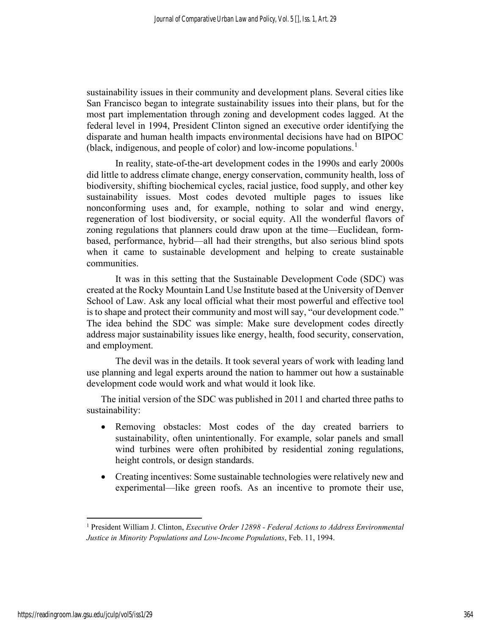sustainability issues in their community and development plans. Several cities like San Francisco began to integrate sustainability issues into their plans, but for the most part implementation through zoning and development codes lagged. At the federal level in 1994, President Clinton signed an executive order identifying the disparate and human health impacts environmental decisions have had on BIPOC (black, indigenous, and people of color) and low-income populations.<sup>1</sup>

In reality, state-of-the-art development codes in the 1990s and early 2000s did little to address climate change, energy conservation, community health, loss of biodiversity, shifting biochemical cycles, racial justice, food supply, and other key sustainability issues. Most codes devoted multiple pages to issues like nonconforming uses and, for example, nothing to solar and wind energy, regeneration of lost biodiversity, or social equity. All the wonderful flavors of zoning regulations that planners could draw upon at the time—Euclidean, formbased, performance, hybrid—all had their strengths, but also serious blind spots when it came to sustainable development and helping to create sustainable communities.

It was in this setting that the Sustainable Development Code (SDC) was created at the Rocky Mountain Land Use Institute based at the University of Denver School of Law. Ask any local official what their most powerful and effective tool is to shape and protect their community and most will say, "our development code." The idea behind the SDC was simple: Make sure development codes directly address major sustainability issues like energy, health, food security, conservation, and employment.

The devil was in the details. It took several years of work with leading land use planning and legal experts around the nation to hammer out how a sustainable development code would work and what would it look like.

The initial version of the SDC was published in 2011 and charted three paths to sustainability:

- Removing obstacles: Most codes of the day created barriers to sustainability, often unintentionally. For example, solar panels and small wind turbines were often prohibited by residential zoning regulations, height controls, or design standards.
- Creating incentives: Some sustainable technologies were relatively new and experimental—like green roofs. As an incentive to promote their use,

<sup>&</sup>lt;sup>1</sup> President William J. Clinton, *Executive Order 12898 - Federal Actions to Address Environmental* Justice in Minority Populations and Low-Income Populations, Feb. 11, 1994.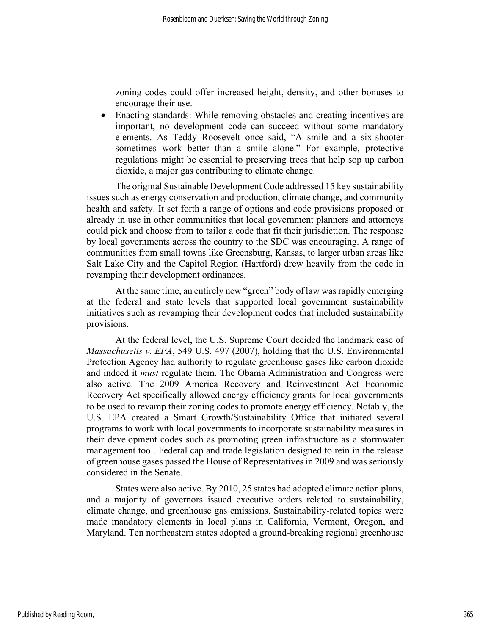zoning codes could offer increased height, density, and other bonuses to encourage their use.

 Enacting standards: While removing obstacles and creating incentives are important, no development code can succeed without some mandatory elements. As Teddy Roosevelt once said, "A smile and a six-shooter sometimes work better than a smile alone." For example, protective regulations might be essential to preserving trees that help sop up carbon dioxide, a major gas contributing to climate change.

The original Sustainable Development Code addressed 15 key sustainability issues such as energy conservation and production, climate change, and community health and safety. It set forth a range of options and code provisions proposed or already in use in other communities that local government planners and attorneys could pick and choose from to tailor a code that fit their jurisdiction. The response by local governments across the country to the SDC was encouraging. A range of communities from small towns like Greensburg, Kansas, to larger urban areas like Salt Lake City and the Capitol Region (Hartford) drew heavily from the code in revamping their development ordinances.

At the same time, an entirely new "green" body of law was rapidly emerging at the federal and state levels that supported local government sustainability initiatives such as revamping their development codes that included sustainability provisions.

At the federal level, the U.S. Supreme Court decided the landmark case of Massachusetts v. EPA, 549 U.S. 497 (2007), holding that the U.S. Environmental Protection Agency had authority to regulate greenhouse gases like carbon dioxide and indeed it *must* regulate them. The Obama Administration and Congress were also active. The 2009 America Recovery and Reinvestment Act Economic Recovery Act specifically allowed energy efficiency grants for local governments to be used to revamp their zoning codes to promote energy efficiency. Notably, the U.S. EPA created a Smart Growth/Sustainability Office that initiated several programs to work with local governments to incorporate sustainability measures in their development codes such as promoting green infrastructure as a stormwater management tool. Federal cap and trade legislation designed to rein in the release of greenhouse gases passed the House of Representatives in 2009 and was seriously considered in the Senate.

States were also active. By 2010, 25 states had adopted climate action plans, and a majority of governors issued executive orders related to sustainability, climate change, and greenhouse gas emissions. Sustainability-related topics were made mandatory elements in local plans in California, Vermont, Oregon, and Maryland. Ten northeastern states adopted a ground-breaking regional greenhouse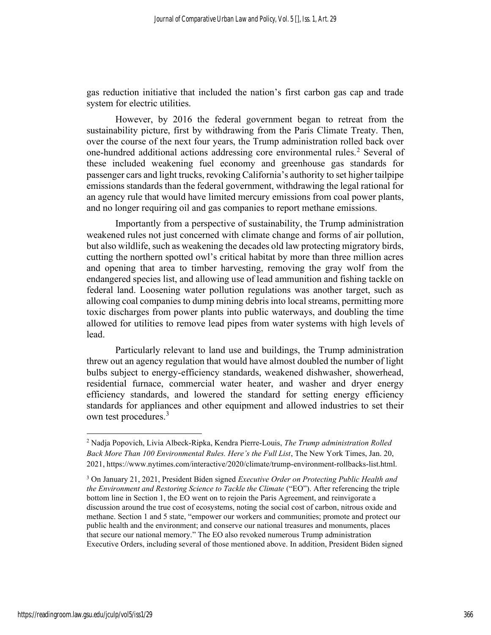gas reduction initiative that included the nation's first carbon gas cap and trade system for electric utilities.

However, by 2016 the federal government began to retreat from the sustainability picture, first by withdrawing from the Paris Climate Treaty. Then, over the course of the next four years, the Trump administration rolled back over one-hundred additional actions addressing core environmental rules.<sup>2</sup> Several of these included weakening fuel economy and greenhouse gas standards for passenger cars and light trucks, revoking California's authority to set higher tailpipe emissions standards than the federal government, withdrawing the legal rational for an agency rule that would have limited mercury emissions from coal power plants, and no longer requiring oil and gas companies to report methane emissions.

Importantly from a perspective of sustainability, the Trump administration weakened rules not just concerned with climate change and forms of air pollution, but also wildlife, such as weakening the decades old law protecting migratory birds, cutting the northern spotted owl's critical habitat by more than three million acres and opening that area to timber harvesting, removing the gray wolf from the endangered species list, and allowing use of lead ammunition and fishing tackle on federal land. Loosening water pollution regulations was another target, such as allowing coal companies to dump mining debris into local streams, permitting more toxic discharges from power plants into public waterways, and doubling the time allowed for utilities to remove lead pipes from water systems with high levels of lead.

Particularly relevant to land use and buildings, the Trump administration threw out an agency regulation that would have almost doubled the number of light bulbs subject to energy-efficiency standards, weakened dishwasher, showerhead, residential furnace, commercial water heater, and washer and dryer energy efficiency standards, and lowered the standard for setting energy efficiency standards for appliances and other equipment and allowed industries to set their own test procedures.<sup>3</sup>

<sup>&</sup>lt;sup>2</sup> Nadja Popovich, Livia Albeck-Ripka, Kendra Pierre-Louis, The Trump administration Rolled Back More Than 100 Environmental Rules. Here's the Full List, The New York Times, Jan. 20, 2021, https://www.nytimes.com/interactive/2020/climate/trump-environment-rollbacks-list.html.

<sup>&</sup>lt;sup>3</sup> On January 21, 2021, President Biden signed Executive Order on Protecting Public Health and the Environment and Restoring Science to Tackle the Climate ("EO"). After referencing the triple bottom line in Section 1, the EO went on to rejoin the Paris Agreement, and reinvigorate a discussion around the true cost of ecosystems, noting the social cost of carbon, nitrous oxide and methane. Section 1 and 5 state, "empower our workers and communities; promote and protect our public health and the environment; and conserve our national treasures and monuments, places that secure our national memory." The EO also revoked numerous Trump administration Executive Orders, including several of those mentioned above. In addition, President Biden signed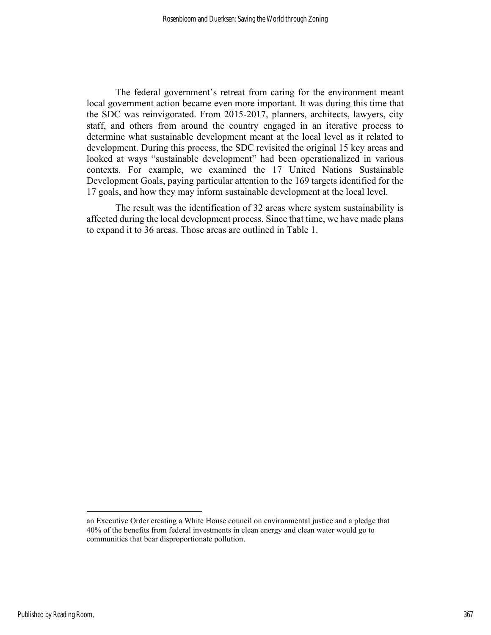The federal government's retreat from caring for the environment meant local government action became even more important. It was during this time that the SDC was reinvigorated. From 2015-2017, planners, architects, lawyers, city staff, and others from around the country engaged in an iterative process to determine what sustainable development meant at the local level as it related to development. During this process, the SDC revisited the original 15 key areas and looked at ways "sustainable development" had been operationalized in various contexts. For example, we examined the 17 United Nations Sustainable Development Goals, paying particular attention to the 169 targets identified for the 17 goals, and how they may inform sustainable development at the local level.

The result was the identification of 32 areas where system sustainability is affected during the local development process. Since that time, we have made plans to expand it to 36 areas. Those areas are outlined in Table 1.

an Executive Order creating a White House council on environmental justice and a pledge that 40% of the benefits from federal investments in clean energy and clean water would go to communities that bear disproportionate pollution.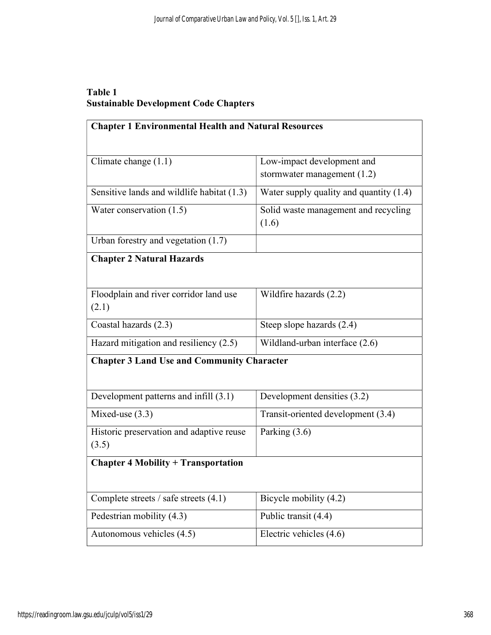## Table 1 Sustainable Development Code Chapters

| <b>Chapter 1 Environmental Health and Natural Resources</b> |                                               |  |
|-------------------------------------------------------------|-----------------------------------------------|--|
|                                                             |                                               |  |
| Climate change $(1.1)$                                      | Low-impact development and                    |  |
|                                                             | stormwater management $(1.2)$                 |  |
| Sensitive lands and wildlife habitat (1.3)                  | Water supply quality and quantity (1.4)       |  |
| Water conservation (1.5)                                    | Solid waste management and recycling<br>(1.6) |  |
| Urban forestry and vegetation (1.7)                         |                                               |  |
| <b>Chapter 2 Natural Hazards</b>                            |                                               |  |
|                                                             |                                               |  |
| Floodplain and river corridor land use                      | Wildfire hazards (2.2)                        |  |
| (2.1)                                                       |                                               |  |
| Coastal hazards (2.3)                                       | Steep slope hazards (2.4)                     |  |
| Hazard mitigation and resiliency $(2.5)$                    | Wildland-urban interface (2.6)                |  |
| <b>Chapter 3 Land Use and Community Character</b>           |                                               |  |
|                                                             |                                               |  |
| Development patterns and infill (3.1)                       | Development densities (3.2)                   |  |
| Mixed-use $(3.3)$                                           | Transit-oriented development (3.4)            |  |
| Historic preservation and adaptive reuse                    | Parking $(3.6)$                               |  |
| (3.5)                                                       |                                               |  |
| <b>Chapter 4 Mobility + Transportation</b>                  |                                               |  |
|                                                             |                                               |  |
| Complete streets $/$ safe streets $(4.1)$                   | Bicycle mobility (4.2)                        |  |
| Pedestrian mobility (4.3)                                   | Public transit (4.4)                          |  |
| Autonomous vehicles (4.5)                                   | Electric vehicles (4.6)                       |  |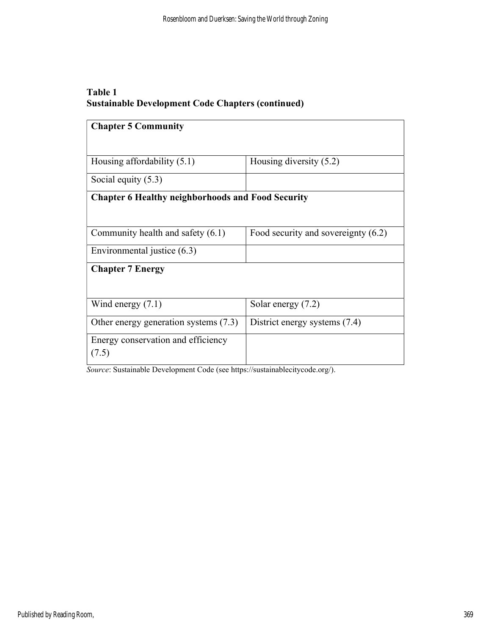## Table 1 Sustainable Development Code Chapters (continued)

| <b>Chapter 5 Community</b>                               |                                     |
|----------------------------------------------------------|-------------------------------------|
|                                                          |                                     |
| Housing affordability $(5.1)$                            | Housing diversity $(5.2)$           |
| Social equity $(5.3)$                                    |                                     |
| <b>Chapter 6 Healthy neighborhoods and Food Security</b> |                                     |
|                                                          |                                     |
| Community health and safety $(6.1)$                      | Food security and sovereignty (6.2) |
| Environmental justice (6.3)                              |                                     |
| <b>Chapter 7 Energy</b>                                  |                                     |
|                                                          |                                     |
| Wind energy $(7.1)$                                      | Solar energy $(7.2)$                |
| Other energy generation systems (7.3)                    | District energy systems (7.4)       |
| Energy conservation and efficiency                       |                                     |
| (7.5)                                                    |                                     |

Source: Sustainable Development Code (see https://sustainablecitycode.org/).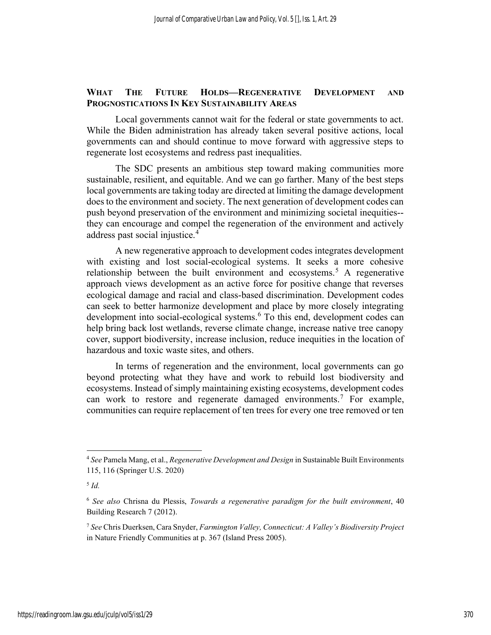#### WHAT THE FUTURE HOLDS—REGENERATIVE DEVELOPMENT AND PROGNOSTICATIONS IN KEY SUSTAINABILITY AREAS

Local governments cannot wait for the federal or state governments to act. While the Biden administration has already taken several positive actions, local governments can and should continue to move forward with aggressive steps to regenerate lost ecosystems and redress past inequalities.

The SDC presents an ambitious step toward making communities more sustainable, resilient, and equitable. And we can go farther. Many of the best steps local governments are taking today are directed at limiting the damage development does to the environment and society. The next generation of development codes can push beyond preservation of the environment and minimizing societal inequities- they can encourage and compel the regeneration of the environment and actively address past social injustice.<sup>4</sup>

A new regenerative approach to development codes integrates development with existing and lost social-ecological systems. It seeks a more cohesive relationship between the built environment and ecosystems.<sup>5</sup> A regenerative approach views development as an active force for positive change that reverses ecological damage and racial and class-based discrimination. Development codes can seek to better harmonize development and place by more closely integrating development into social-ecological systems.<sup>6</sup> To this end, development codes can help bring back lost wetlands, reverse climate change, increase native tree canopy cover, support biodiversity, increase inclusion, reduce inequities in the location of hazardous and toxic waste sites, and others.

In terms of regeneration and the environment, local governments can go beyond protecting what they have and work to rebuild lost biodiversity and ecosystems. Instead of simply maintaining existing ecosystems, development codes can work to restore and regenerate damaged environments.<sup>7</sup> For example, communities can require replacement of ten trees for every one tree removed or ten

 $4$  See Pamela Mang, et al., *Regenerative Development and Design* in Sustainable Built Environments 115, 116 (Springer U.S. 2020)

 $^5$  Id.

 $6$  See also Chrisna du Plessis, Towards a regenerative paradigm for the built environment, 40 Building Research 7 (2012).

<sup>&</sup>lt;sup>7</sup> See Chris Duerksen, Cara Snyder, Farmington Valley, Connecticut: A Valley's Biodiversity Project in Nature Friendly Communities at p. 367 (Island Press 2005).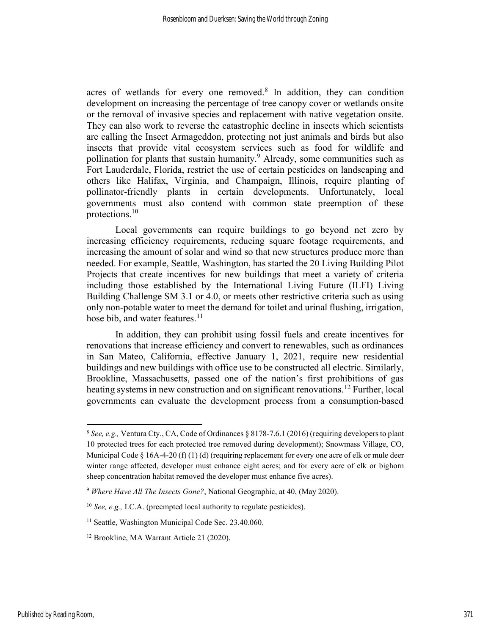acres of wetlands for every one removed.<sup>8</sup> In addition, they can condition development on increasing the percentage of tree canopy cover or wetlands onsite or the removal of invasive species and replacement with native vegetation onsite. They can also work to reverse the catastrophic decline in insects which scientists are calling the Insect Armageddon, protecting not just animals and birds but also insects that provide vital ecosystem services such as food for wildlife and pollination for plants that sustain humanity.<sup>9</sup> Already, some communities such as Fort Lauderdale, Florida, restrict the use of certain pesticides on landscaping and others like Halifax, Virginia, and Champaign, Illinois, require planting of pollinator-friendly plants in certain developments. Unfortunately, local governments must also contend with common state preemption of these protections.<sup>10</sup>

Local governments can require buildings to go beyond net zero by increasing efficiency requirements, reducing square footage requirements, and increasing the amount of solar and wind so that new structures produce more than needed. For example, Seattle, Washington, has started the 20 Living Building Pilot Projects that create incentives for new buildings that meet a variety of criteria including those established by the International Living Future (ILFI) Living Building Challenge SM 3.1 or 4.0, or meets other restrictive criteria such as using only non-potable water to meet the demand for toilet and urinal flushing, irrigation, hose bib, and water features. $11$ 

In addition, they can prohibit using fossil fuels and create incentives for renovations that increase efficiency and convert to renewables, such as ordinances in San Mateo, California, effective January 1, 2021, require new residential buildings and new buildings with office use to be constructed all electric. Similarly, Brookline, Massachusetts, passed one of the nation's first prohibitions of gas heating systems in new construction and on significant renovations.<sup>12</sup> Further, local governments can evaluate the development process from a consumption-based

 $8$  See, e.g., Ventura Cty., CA, Code of Ordinances § 8178-7.6.1 (2016) (requiring developers to plant 10 protected trees for each protected tree removed during development); Snowmass Village, CO, Municipal Code  $\S$  16A-4-20 (f) (1) (d) (requiring replacement for every one acre of elk or mule deer winter range affected, developer must enhance eight acres; and for every acre of elk or bighorn sheep concentration habitat removed the developer must enhance five acres).

<sup>&</sup>lt;sup>9</sup> Where Have All The Insects Gone?, National Geographic, at 40, (May 2020).

<sup>&</sup>lt;sup>10</sup> See, e.g., I.C.A. (preempted local authority to regulate pesticides).

<sup>&</sup>lt;sup>11</sup> Seattle, Washington Municipal Code Sec. 23.40.060.

<sup>&</sup>lt;sup>12</sup> Brookline, MA Warrant Article 21 (2020).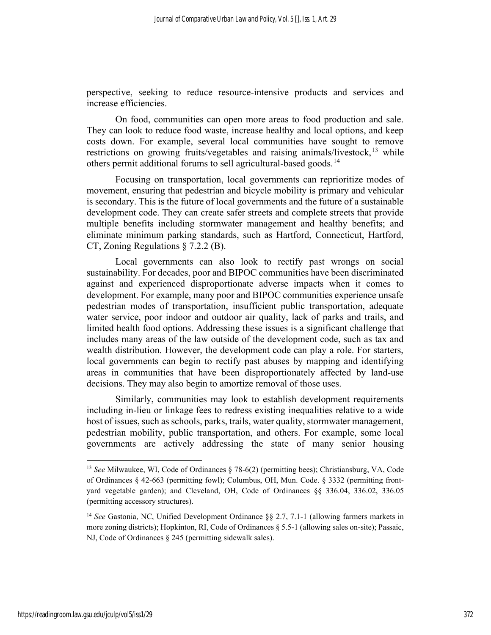perspective, seeking to reduce resource-intensive products and services and increase efficiencies.

On food, communities can open more areas to food production and sale. They can look to reduce food waste, increase healthy and local options, and keep costs down. For example, several local communities have sought to remove restrictions on growing fruits/vegetables and raising animals/livestock,  $13$  while others permit additional forums to sell agricultural-based goods.<sup>14</sup>

Focusing on transportation, local governments can reprioritize modes of movement, ensuring that pedestrian and bicycle mobility is primary and vehicular is secondary. This is the future of local governments and the future of a sustainable development code. They can create safer streets and complete streets that provide multiple benefits including stormwater management and healthy benefits; and eliminate minimum parking standards, such as Hartford, Connecticut, Hartford, CT, Zoning Regulations § 7.2.2 (B).

Local governments can also look to rectify past wrongs on social sustainability. For decades, poor and BIPOC communities have been discriminated against and experienced disproportionate adverse impacts when it comes to development. For example, many poor and BIPOC communities experience unsafe pedestrian modes of transportation, insufficient public transportation, adequate water service, poor indoor and outdoor air quality, lack of parks and trails, and limited health food options. Addressing these issues is a significant challenge that includes many areas of the law outside of the development code, such as tax and wealth distribution. However, the development code can play a role. For starters, local governments can begin to rectify past abuses by mapping and identifying areas in communities that have been disproportionately affected by land-use decisions. They may also begin to amortize removal of those uses.

Similarly, communities may look to establish development requirements including in-lieu or linkage fees to redress existing inequalities relative to a wide host of issues, such as schools, parks, trails, water quality, stormwater management, pedestrian mobility, public transportation, and others. For example, some local governments are actively addressing the state of many senior housing

<sup>&</sup>lt;sup>13</sup> See Milwaukee, WI, Code of Ordinances  $\S$  78-6(2) (permitting bees); Christiansburg, VA, Code of Ordinances § 42-663 (permitting fowl); Columbus, OH, Mun. Code. § 3332 (permitting frontyard vegetable garden); and Cleveland, OH, Code of Ordinances §§ 336.04, 336.02, 336.05 (permitting accessory structures).

<sup>&</sup>lt;sup>14</sup> See Gastonia, NC, Unified Development Ordinance §§ 2.7, 7.1-1 (allowing farmers markets in more zoning districts); Hopkinton, RI, Code of Ordinances § 5.5-1 (allowing sales on-site); Passaic, NJ, Code of Ordinances § 245 (permitting sidewalk sales).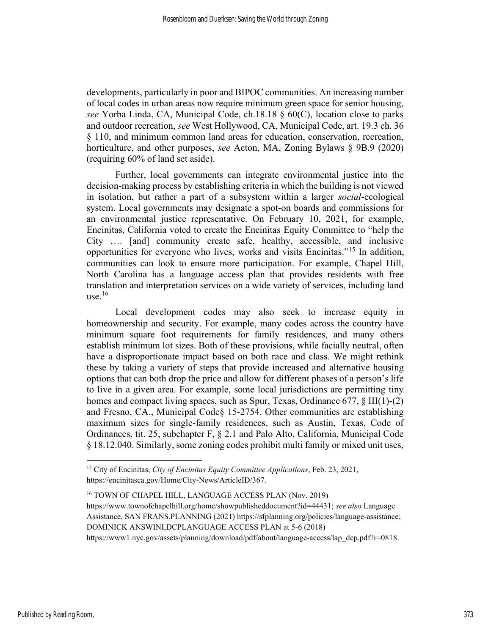developments, particularly in poor and BIPOC communities. An increasing number of local codes in urban areas now require minimum green space for senior housing, see Yorba Linda, CA, Municipal Code, ch.18.18 § 60(C), location close to parks and outdoor recreation, see West Hollywood, CA, Municipal Code, art. 19.3 ch. 36 § 110, and minimum common land areas for education, conservation, recreation, horticulture, and other purposes, see Acton, MA, Zoning Bylaws § 9B.9 (2020) (requiring 60% of land set aside).

Further, local governments can integrate environmental justice into the decision-making process by establishing criteria in which the building is not viewed in isolation, but rather a part of a subsystem within a larger social-ecological system. Local governments may designate a spot-on boards and commissions for an environmental justice representative. On February 10, 2021, for example, Encinitas, California voted to create the Encinitas Equity Committee to "help the City …. [and] community create safe, healthy, accessible, and inclusive opportunities for everyone who lives, works and visits Encinitas."<sup>15</sup> In addition, communities can look to ensure more participation. For example, Chapel Hill, North Carolina has a language access plan that provides residents with free translation and interpretation services on a wide variety of services, including land use. $16$ 

Local development codes may also seek to increase equity in homeownership and security. For example, many codes across the country have minimum square foot requirements for family residences, and many others establish minimum lot sizes. Both of these provisions, while facially neutral, often have a disproportionate impact based on both race and class. We might rethink these by taking a variety of steps that provide increased and alternative housing options that can both drop the price and allow for different phases of a person's life to live in a given area. For example, some local jurisdictions are permitting tiny homes and compact living spaces, such as Spur, Texas, Ordinance 677, § III(1)-(2) and Fresno, CA., Municipal Code§ 15-2754. Other communities are establishing maximum sizes for single-family residences, such as Austin, Texas, Code of Ordinances, tit. 25, subchapter F, § 2.1 and Palo Alto, California, Municipal Code § 18.12.040. Similarly, some zoning codes prohibit multi family or mixed unit uses,

<sup>16</sup> TOWN OF CHAPEL HILL, LANGUAGE ACCESS PLAN (Nov. 2019) https://www.townofchapelhill.org/home/showpublisheddocument?id=44431; see also Language Assistance, SAN FRANS.PLANNING (2021) https://sfplanning.org/policies/language-assistance; DOMINICK ANSWINI,DCPLANGUAGE ACCESS PLAN at 5-6 (2018) https://www1.nyc.gov/assets/planning/download/pdf/about/language-access/lap\_dcp.pdf?r=0818.

<sup>&</sup>lt;sup>15</sup> City of Encinitas, *City of Encinitas Equity Committee Applications*, Feb. 23, 2021, https://encinitasca.gov/Home/City-News/ArticleID/367.